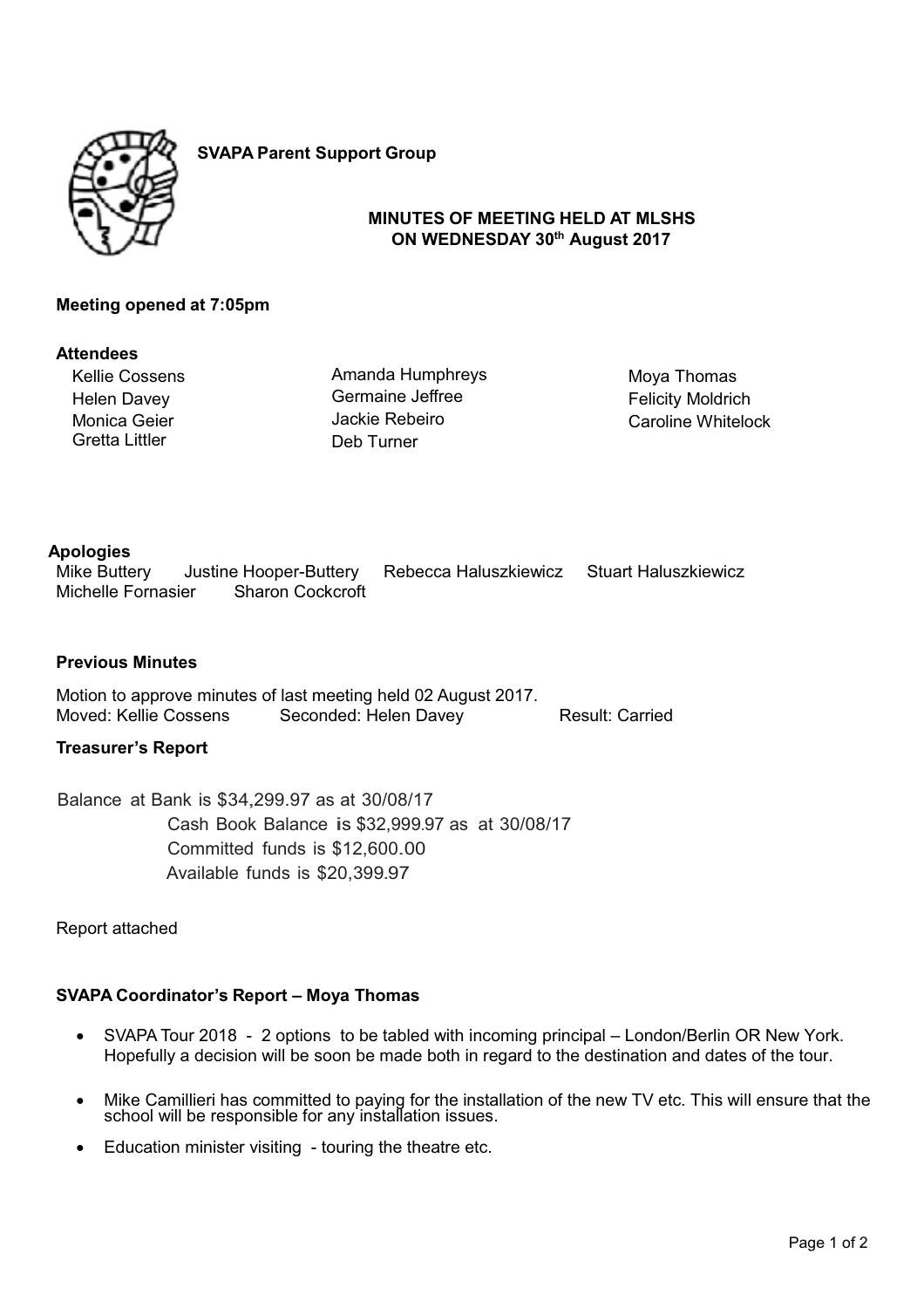

**SVAPA Parent Support Group**

# **MINUTES OF MEETING HELD AT MLSHS ON WEDNESDAY 30th August 2017**

# **Meeting opened at 7:05pm**

#### **Attendees**

Kellie Cossens Helen Davey Monica Geier Gretta Littler

Amanda Humphreys Germaine Jeffree Jackie Rebeiro Deb Turner

Moya Thomas Felicity Moldrich Caroline Whitelock

# **Apologies**

Mike Buttery Justine Hooper-Buttery Rebecca Haluszkiewicz Stuart Haluszkiewicz<br>Michelle Fornasier Sharon Cockcroft Sharon Cockcroft

# **Previous Minutes**

Motion to approve minutes of last meeting held 02 August 2017. Moved: Kellie Cossens Seconded: Helen Davey Result: Carried

# **Treasurer's Report**

Balance at Bank is \$34,299.97 as at 30/08/17 Cash Book Balance is \$32,999.97 as at 30/08/17 Committed funds is \$12,600.00 Available funds is \$20,399.97

Report attached

# **SVAPA Coordinator's Report – Moya Thomas**

- SVAPA Tour 2018 2 options to be tabled with incoming principal London/Berlin OR New York. Hopefully a decision will be soon be made both in regard to the destination and dates of the tour.
- - Mike Camillieri has committed to paying for the installation of the new TV etc. This will ensure that the school will be responsible for any installation issues.
- Education minister visiting touring the theatre etc.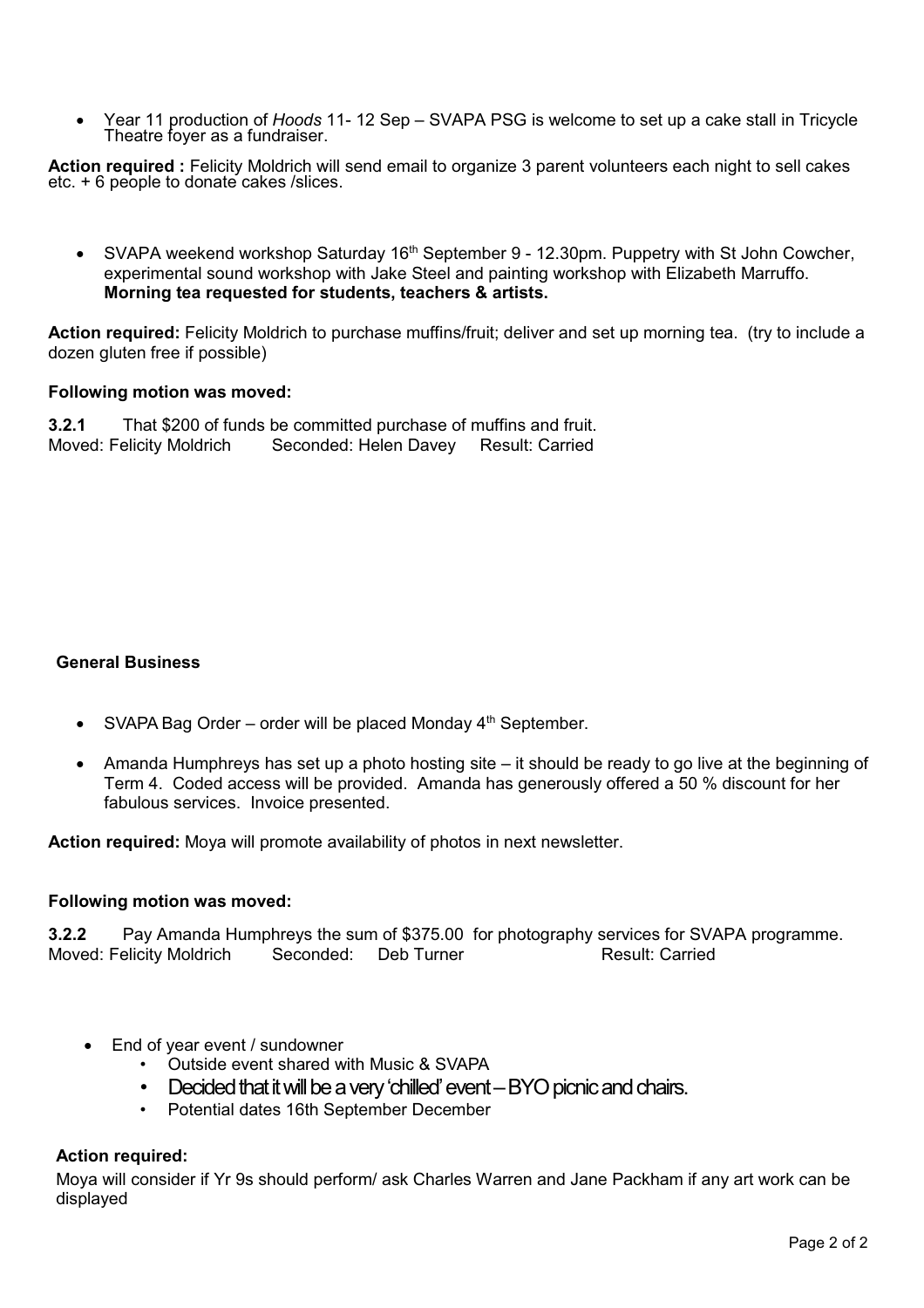-Year 11 production of *Hoods* 11- 12 Sep – SVAPA PSG is welcome to set up a cake stall in Tricycle Theatre foyer as a fundraiser.

Action required : Felicity Moldrich will send email to organize 3 parent volunteers each night to sell cakes etc. + 6 people to donate cakes /slices.

 $\bullet$ SVAPA weekend workshop Saturday 16<sup>th</sup> September 9 - 12.30pm. Puppetry with St John Cowcher, experimental sound workshop with Jake Steel and painting workshop with Elizabeth Marruffo. **Morning tea requested for students, teachers & artists.** 

**Action required:** Felicity Moldrich to purchase muffins/fruit; deliver and set up morning tea. (try to include a dozen gluten free if possible)

# **Following motion was moved:**

**3.2.1** That \$200 of funds be committed purchase of muffins and fruit. Moved: Felicity Moldrich Seconded: Helen Davey Result: Carried

# **General Business**

- SVAPA Bag Order order will be placed Monday 4<sup>th</sup> September.
- - Amanda Humphreys has set up a photo hosting site – it should be ready to go live at the beginning of Term 4. Coded access will be provided. Amanda has generously offered a 50 % discount for her fabulous services. Invoice presented.

**Action required:** Moya will promote availability of photos in next newsletter.

# **Following motion was moved:**

**3.2.2** Pay Amanda Humphreys the sum of \$375.00 for photography services for SVAPA programme. Moved: Felicity Moldrich Correction Seconded: Correct Correction Result: Carried

- $\bullet$  End of year event / sundowner
	- Outside event shared with Music & SVAPA
	- Decided that it will be a very 'chilled' event BYO picnic and chairs.
	- Potential dates 16th September December

# **Action required:**

Moya will consider if Yr 9s should perform/ ask Charles Warren and Jane Packham if any art work can be displayed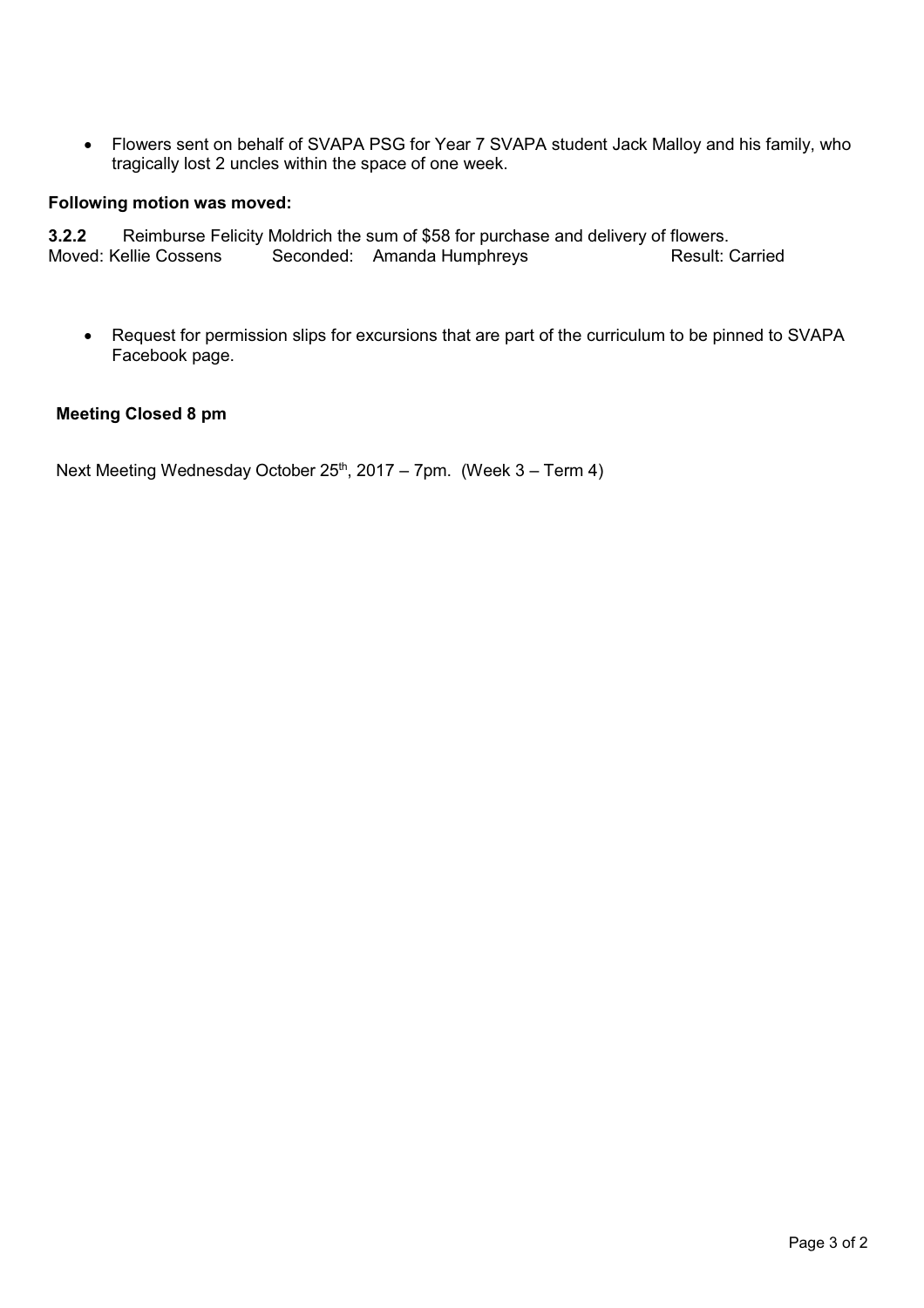$\bullet$  Flowers sent on behalf of SVAPA PSG for Year 7 SVAPA student Jack Malloy and his family, who tragically lost 2 uncles within the space of one week.

# **Following motion was moved:**

**3.2.2** Reimburse Felicity Moldrich the sum of \$58 for purchase and delivery of flowers. Moved: Kellie Cossens Seconded: Amanda Humphreys Result: Carried

 $\bullet$  Request for permission slips for excursions that are part of the curriculum to be pinned to SVAPA Facebook page.

# **Meeting Closed 8 pm**

Next Meeting Wednesday October  $25<sup>th</sup>$ , 2017 – 7pm. (Week 3 – Term 4)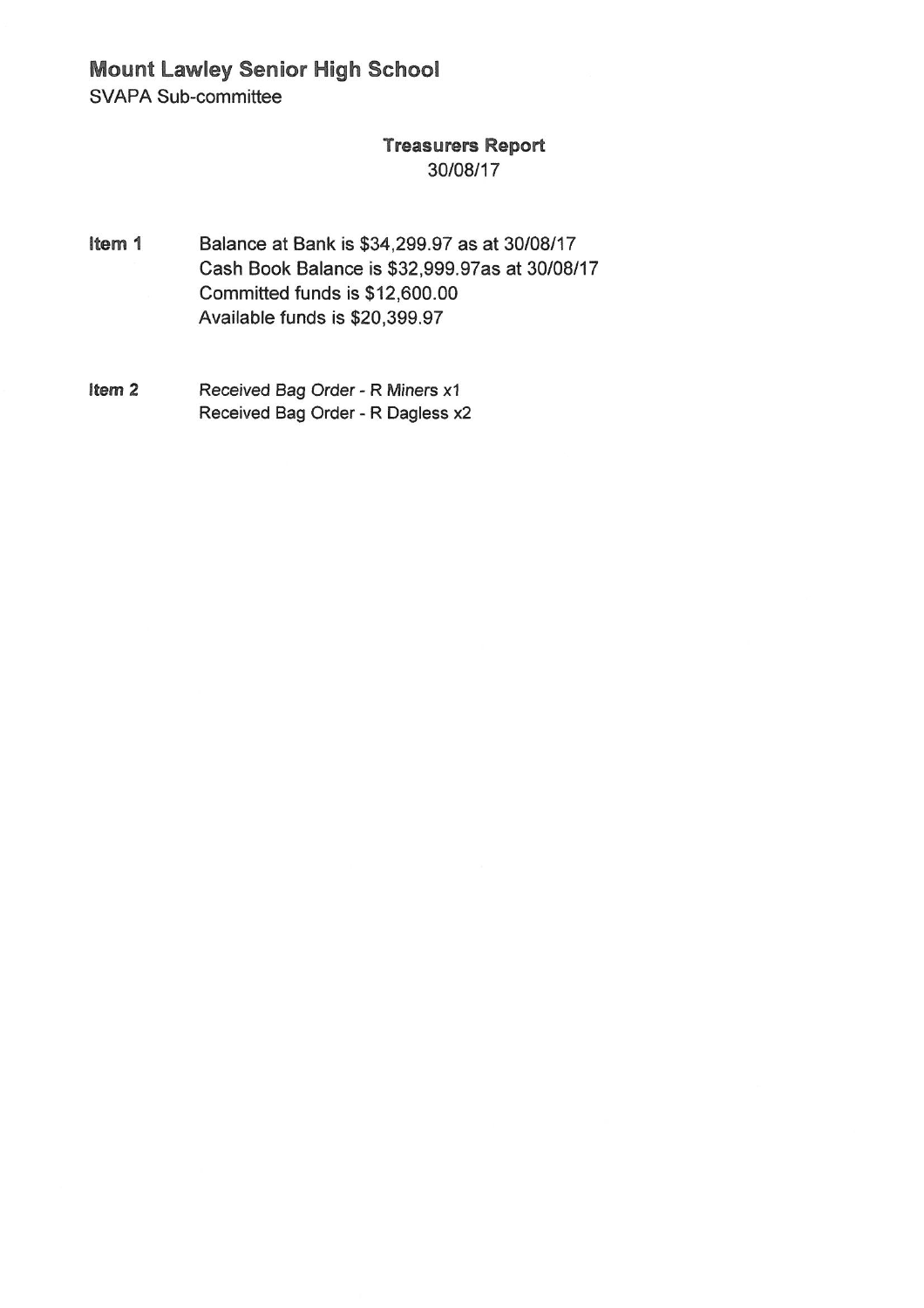**Mount Lawley Senior High School** 

**SVAPA Sub-committee** 

# **Treasurers Report** 30/08/17

- Balance at Bank is \$34,299.97 as at 30/08/17 Item 1 Cash Book Balance is \$32,999.97as at 30/08/17 Committed funds is \$12,600.00 Available funds is \$20,399.97
- Item<sub>2</sub> Received Bag Order - R Miners x1 Received Bag Order - R Dagless x2